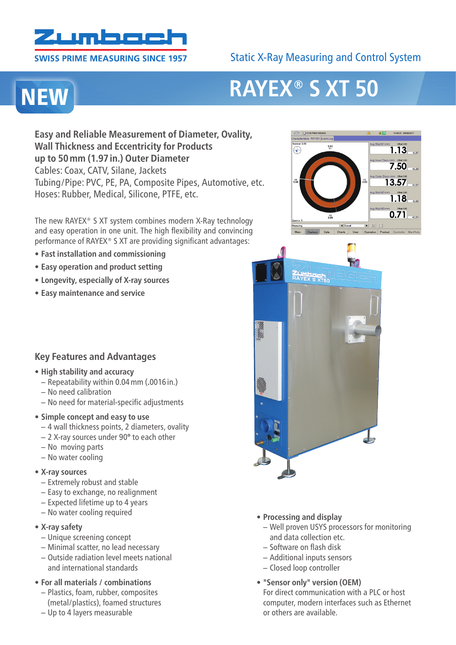

#### **SWISS PRIME MEASURING SINCE 1957**

# Static X-Ray Measuring and Control System

# **NEW**

# **RAYEX® S XT 50**

**Easy and Reliable Measurement of Diameter, Ovality, Wall Thickness and Eccentricity for Products up to 50mm (1.97in.) Outer Diameter** Cables: Coax, CATV, Silane, Jackets Tubing/Pipe: PVC, PE, PA, Composite Pipes, Automotive, etc. Hoses: Rubber, Medical, Silicone, PTFE, etc.

The new RAYEX® S XT system combines modern X-Ray technology and easy operation in one unit. The high flexibility and convincing performance of RAYEX® S XT are providing significant advantages:

- **• Fast installation and commissioning**
- **• Easy operation and product setting**
- **• Longevity, especially of X-ray sources**
- **• Easy maintenance and service**

### **Key Features and Advantages**

- **• High stability and accuracy**
	- Repeatability within 0.04mm (**.**0016 in.)
	- No need calibration
	- No need for material-specific adjustments

#### **• Simple concept and easy to use**

- 4 wall thickness points, 2 diameters, ovality
- 2 X-ray sources under 90° to each other
- No moving parts
- No water cooling

#### **• X-ray sources**

- Extremely robust and stable
- Easy to exchange, no realignment
- Expected lifetime up to 4 years
- No water cooling required

#### **• X-ray safety**

- Unique screening concept
- Minimal scatter, no lead necessary
- Outside radiation level meets national and international standards
- **• For all materials / combinations**
	- Plastics, foam, rubber, composites (metal/plastics), foamed structures
	- Up to 4 layers measurable





- **• Processing and display**
	- Well proven USYS processors for monitoring and data collection etc.
	- Software on flash disk
	- Additional inputs sensors
	- Closed loop controller
- **• "Sensor only" version (OEM)** For direct communication with a PLC or host computer, modern interfaces such as Ethernet or others are available.